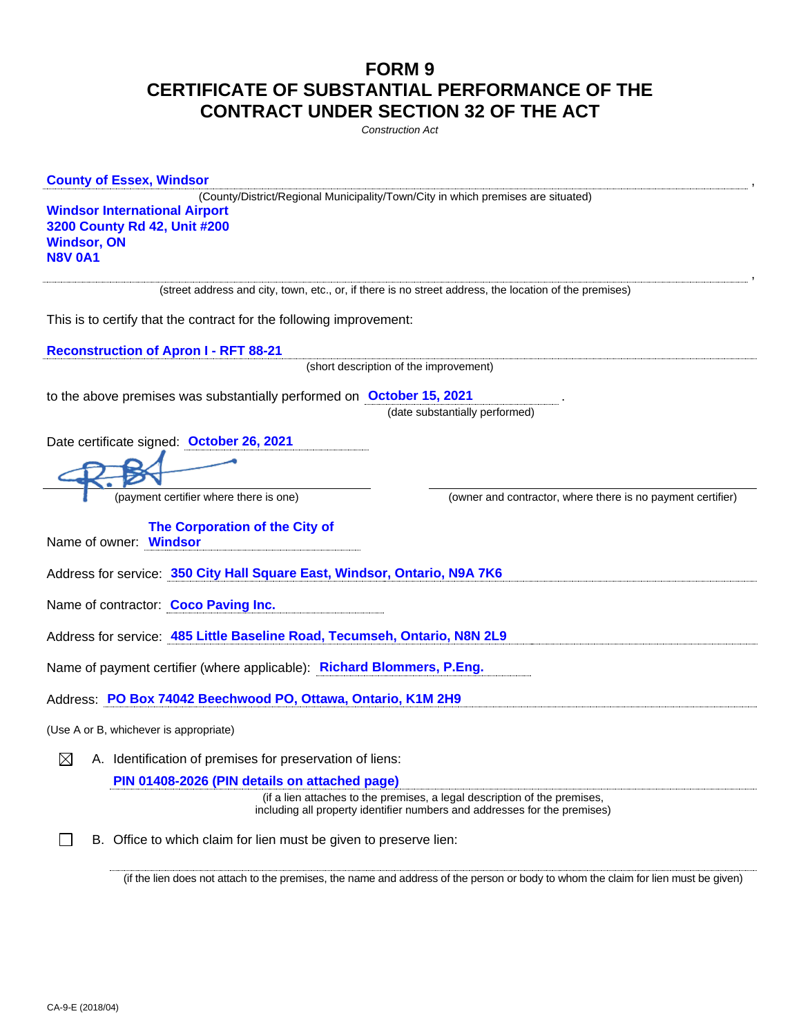## **FORM 9 CERTIFICATE OF SUBSTANTIAL PERFORMANCE OF THE CONTRACT UNDER SECTION 32 OF THE ACT**

*Construction Act*

| <b>County of Essex, Windsor</b>                                                                                                                                                                  |
|--------------------------------------------------------------------------------------------------------------------------------------------------------------------------------------------------|
| (County/District/Regional Municipality/Town/City in which premises are situated)<br><b>Windsor International Airport</b><br>3200 County Rd 42, Unit #200<br><b>Windsor, ON</b><br><b>N8V 0A1</b> |
| (street address and city, town, etc., or, if there is no street address, the location of the premises)                                                                                           |
| This is to certify that the contract for the following improvement:                                                                                                                              |
| <b>Reconstruction of Apron I - RFT 88-21</b>                                                                                                                                                     |
| (short description of the improvement)                                                                                                                                                           |
| to the above premises was substantially performed on October 15, 2021                                                                                                                            |
| (date substantially performed)                                                                                                                                                                   |
| Date certificate signed: October 26, 2021                                                                                                                                                        |
|                                                                                                                                                                                                  |
| (payment certifier where there is one)<br>(owner and contractor, where there is no payment certifier)                                                                                            |
| The Corporation of the City of<br>Name of owner: Windsor                                                                                                                                         |
|                                                                                                                                                                                                  |
| Address for service: 350 City Hall Square East, Windsor, Ontario, N9A 7K6                                                                                                                        |
| Name of contractor: Coco Paving Inc.                                                                                                                                                             |
| Address for service: 485 Little Baseline Road, Tecumseh, Ontario, N8N 2L9                                                                                                                        |
| Name of payment certifier (where applicable): Richard Blommers, P.Eng.                                                                                                                           |
| Address: PO Box 74042 Beechwood PO, Ottawa, Ontario, K1M 2H9                                                                                                                                     |
| (Use A or B, whichever is appropriate)                                                                                                                                                           |
| A. Identification of premises for preservation of liens:<br>⊠                                                                                                                                    |
| PIN 01408-2026 (PIN details on attached page)                                                                                                                                                    |
| (if a lien attaches to the premises, a legal description of the premises,<br>including all property identifier numbers and addresses for the premises)                                           |

(if the lien does not attach to the premises, the name and address of the person or body to whom the claim for lien must be given)